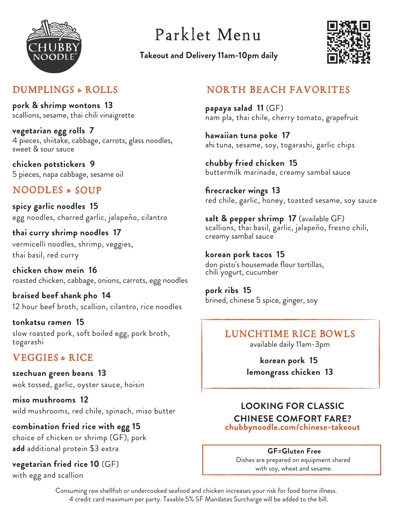

# Parklet Menu

**Takeout and Delivery 11am-10pm daily**



## DUMPLINGS & ROLLS

**pork & shrimp wontons 13** scallions, sesame, thai chili vinaigrette

**vegetarian egg rolls 7** 4 pieces, shiitake, cabbage, carrots, glass noodles, sweet & sour sauce

**chicken potstickers 9** 5 pieces, napa cabbage, sesame oil

## NOODLES & SOUP

**spicy garlic noodles 15** egg noodles, charred garlic, jalapeño, cilantro

**thai curry shrimp noodles 17** vermicelli noodles, shrimp, veggies, thai basil, red curry

**chicken chow mein 16** roasted chicken, cabbage, onions, carrots, egg noodles

**braised beef shank pho 14** 12 hour beef broth, scallion, cilantro, rice noodles

**tonkatsu ramen 15** slow roasted pork, soft boiled egg, pork broth, togarashi

## VEGGIES & RICE

**szechuan green beans 13** wok tossed, garlic, oyster sauce, hoisin

**miso mushrooms 12** wild mushrooms, red chile, spinach, miso butter

**combination fried rice with egg 15** choice of chicken or shrimp (GF), pork **add** additional protein \$3 extra

**vegetarian fried rice 10** (GF)

with egg and scallion

## NORTH BEACH FAVORITES

**papaya salad 11** (GF) nam pla, thai chile, cherry tomato, grapefruit

**hawaiian tuna poke 17** ahi tuna, sesame, soy, togarashi, garlic chips

**chubby fried chicken 15** buttermilk marinade, creamy sambal sauce

**firecracker wings 13** red chile, garlic, honey, toasted sesame, soy sauce

**salt & pepper shrimp 17** (available GF) s callions, thai basil, garlic, jalapeño, fresno chili, creamy sambal sauce

**korean pork tacos 15** don pisto's housemade flour tortillas, chili yogurt, cucumber

**pork ribs 15** brined, chinese 5 spice, ginger, soy

## LUNCHTIME RICE BOWLS

available daily 11am-3pm

**korean pork 15 lemongrass chicken 13**

### **LOOKING FOR CLASSIC CHINESE COMFORT FARE? chubbynoodle.com/chinese-takeout**

#### **GF=Gluten Free**

Dishes are prepared on equipment shared with soy, wheat and sesame.

Consuming raw shellfish or undercooked seafood and chicken increases your risk for food borne illness. 4 credit card maximum per party. Taxable 5% SF Mandates Surcharge will be added to the bill.